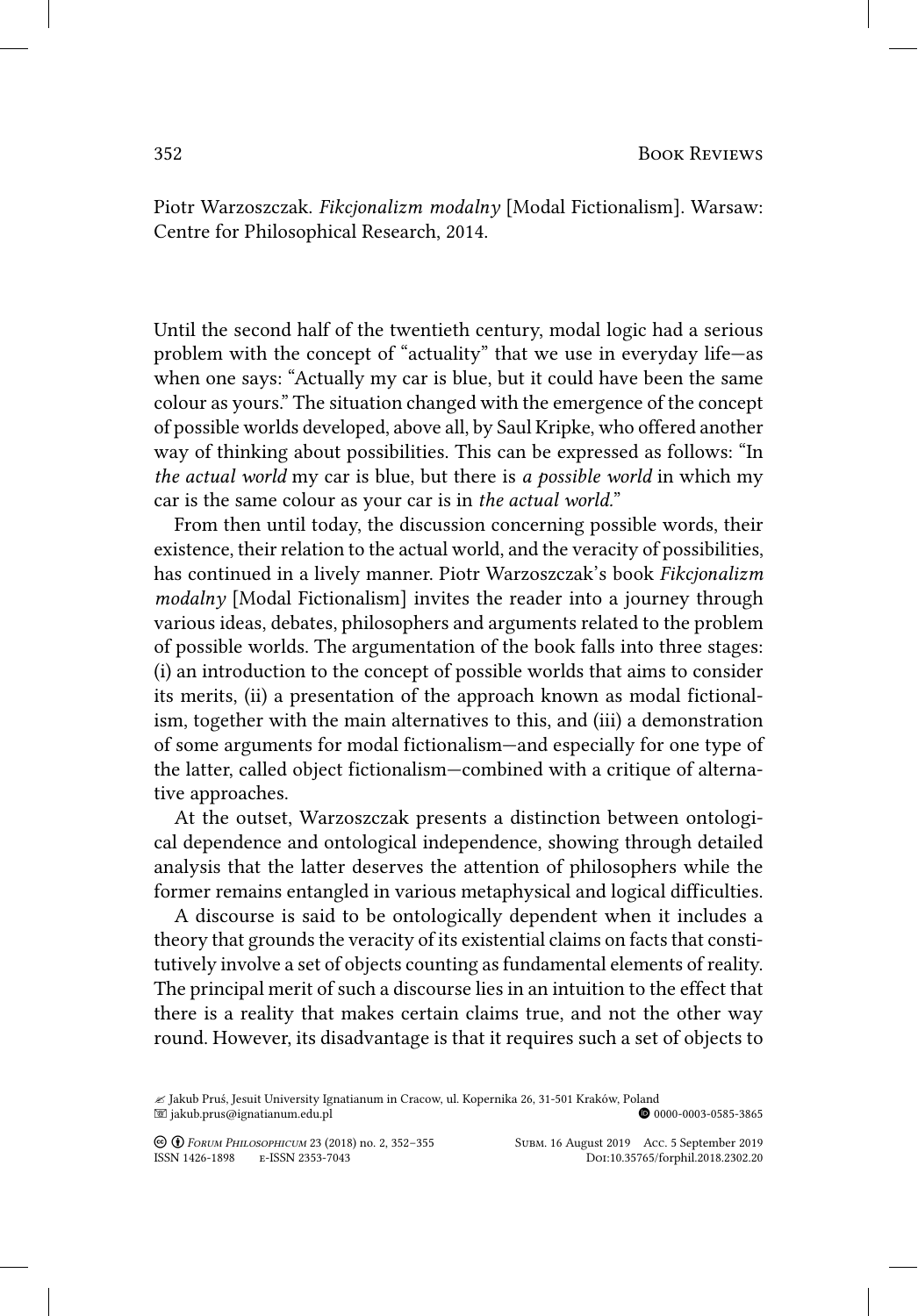Piotr Warzoszczak. *Fikcjonalizm modalny* [Modal Fictionalism]. Warsaw: Centre for Philosophical Research, 2014.

Until the second half of the twentieth century, modal logic had a serious problem with the concept of "actuality" that we use in everyday life—as when one says: "Actually my car is blue, but it could have been the same colour as yours." The situation changed with the emergence of the concept of possible worlds developed, above all, by Saul Kripke, who offered another way of thinking about possibilities. This can be expressed as follows: "In *the actual world* my car is blue, but there is *a possible world* in which my car is the same colour as your car is in *the actual world.*"

From then until today, the discussion concerning possible words, their existence, their relation to the actual world, and the veracity of possibilities, has continued in a lively manner. Piotr Warzoszczak's book *Fikcjonalizm modalny* [Modal Fictionalism] invites the reader into a journey through various ideas, debates, philosophers and arguments related to the problem of possible worlds. The argumentation of the book falls into three stages: (i) an introduction to the concept of possible worlds that aims to consider its merits, (ii) a presentation of the approach known as modal fictionalism, together with the main alternatives to this, and (iii) a demonstration of some arguments for modal fictionalism—and especially for one type of the latter, called object fictionalism—combined with a critique of alternative approaches.

At the outset, Warzoszczak presents a distinction between ontological dependence and ontological independence, showing through detailed analysis that the latter deserves the attention of philosophers while the former remains entangled in various metaphysical and logical difficulties.

A discourse is said to be ontologically dependent when it includes a theory that grounds the veracity of its existential claims on facts that constitutively involve a set of objects counting as fundamental elements of reality. The principal merit of such a discourse lies in an intuition to the effect that there is a reality that makes certain claims true, and not the other way round. However, its disadvantage is that it requires such a set of objects to

**© ©** *Говим Рниозоритсим* 23 (2018) no. 2, 352–355 Subm. 16 August 2019 Acc. 5 September 2019<br>ISSN 1426-1898 E-ISSN 2353-7043 Dor:10.35765/forphil.2018.2302.20 ISSN 1426-1898 E-ISSN 2353-7043

<sup>∠</sup> Jakub Pruś, Jesuit University Ignatianum in Cracow, ul. Kopernika 26, 31-501 Kraków, Poland<br>⊠ jakub.prus@ignatianum.edu.pl  $\blacksquare$  jakub.prus@ignatianum.edu.pl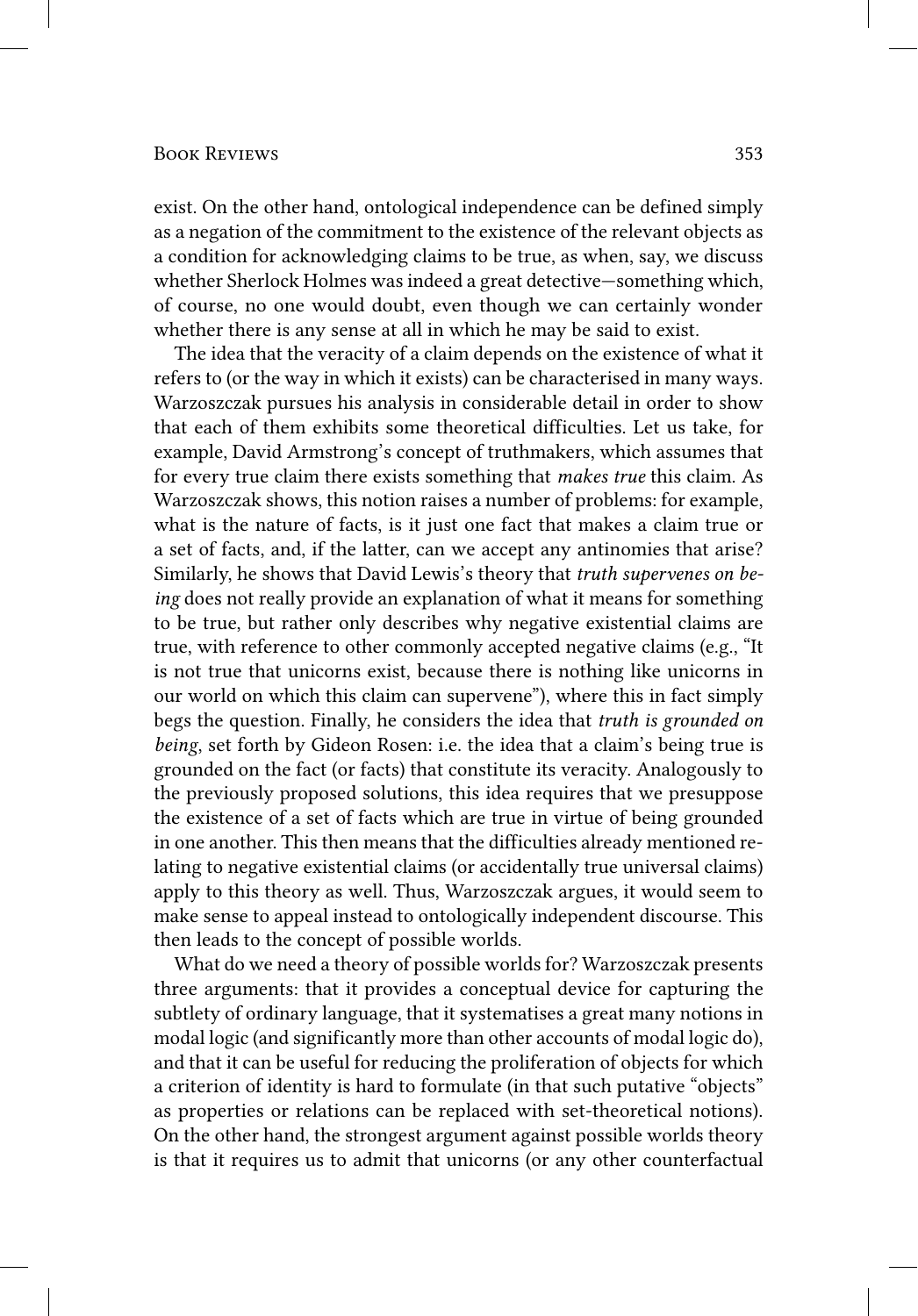## Book Reviews 353

exist. On the other hand, ontological independence can be defined simply as a negation of the commitment to the existence of the relevant objects as a condition for acknowledging claims to be true, as when, say, we discuss whether Sherlock Holmes was indeed a great detective—something which, of course, no one would doubt, even though we can certainly wonder whether there is any sense at all in which he may be said to exist.

The idea that the veracity of a claim depends on the existence of what it refers to (or the way in which it exists) can be characterised in many ways. Warzoszczak pursues his analysis in considerable detail in order to show that each of them exhibits some theoretical difficulties. Let us take, for example, David Armstrong's concept of truthmakers, which assumes that for every true claim there exists something that *makes true* this claim. As Warzoszczak shows, this notion raises a number of problems: for example, what is the nature of facts, is it just one fact that makes a claim true or a set of facts, and, if the latter, can we accept any antinomies that arise? Similarly, he shows that David Lewis's theory that *truth supervenes on being* does not really provide an explanation of what it means for something to be true, but rather only describes why negative existential claims are true, with reference to other commonly accepted negative claims (e.g., "It is not true that unicorns exist, because there is nothing like unicorns in our world on which this claim can supervene"), where this in fact simply begs the question. Finally, he considers the idea that *truth is grounded on being*, set forth by Gideon Rosen: i.e. the idea that a claim's being true is grounded on the fact (or facts) that constitute its veracity. Analogously to the previously proposed solutions, this idea requires that we presuppose the existence of a set of facts which are true in virtue of being grounded in one another. This then means that the difficulties already mentioned relating to negative existential claims (or accidentally true universal claims) apply to this theory as well. Thus, Warzoszczak argues, it would seem to make sense to appeal instead to ontologically independent discourse. This then leads to the concept of possible worlds.

What do we need a theory of possible worlds for? Warzoszczak presents three arguments: that it provides a conceptual device for capturing the subtlety of ordinary language, that it systematises a great many notions in modal logic (and significantly more than other accounts of modal logic do), and that it can be useful for reducing the proliferation of objects for which a criterion of identity is hard to formulate (in that such putative "objects" as properties or relations can be replaced with set-theoretical notions). On the other hand, the strongest argument against possible worlds theory is that it requires us to admit that unicorns (or any other counterfactual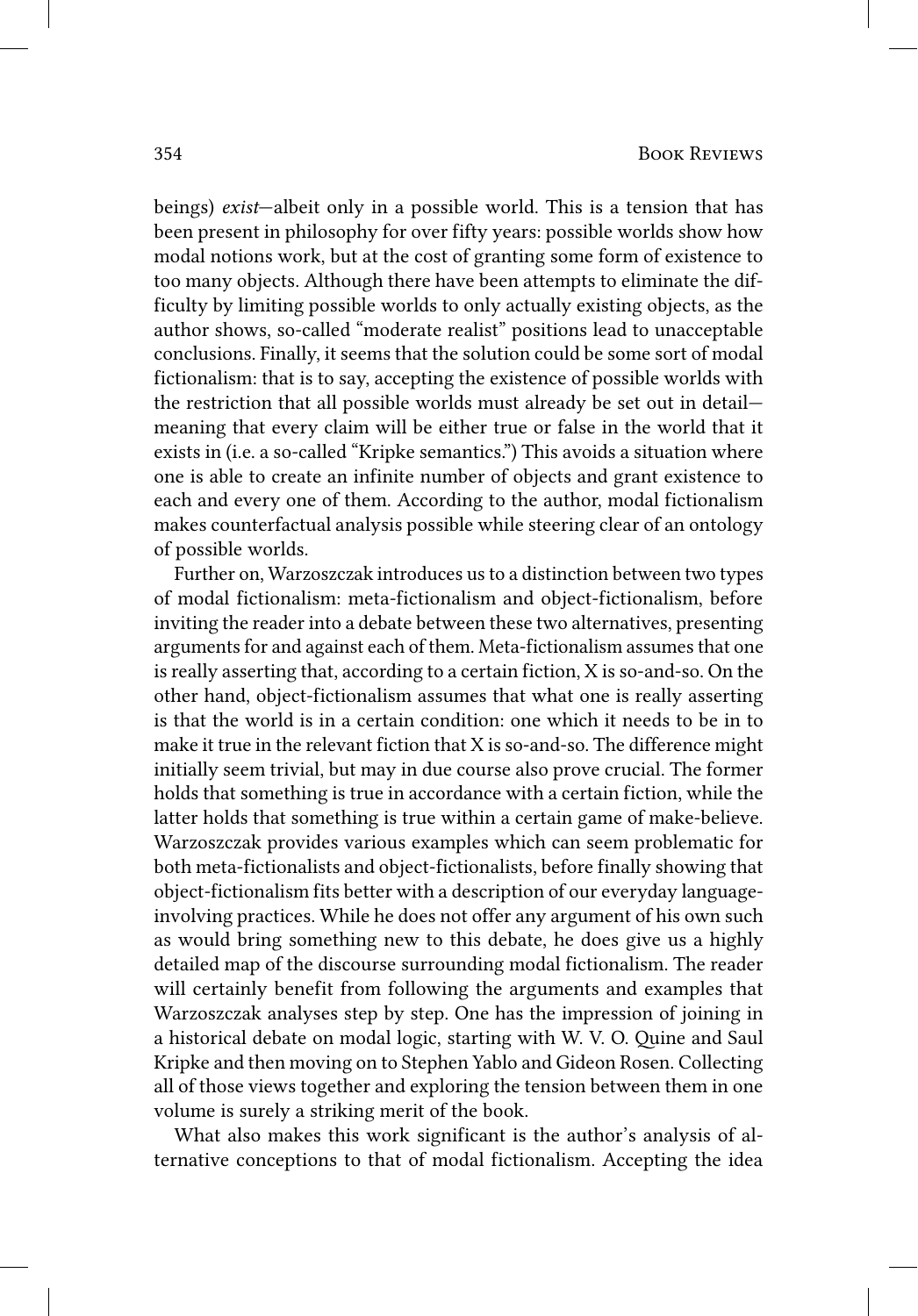beings) *exist*—albeit only in a possible world. This is a tension that has been present in philosophy for over fifty years: possible worlds show how modal notions work, but at the cost of granting some form of existence to too many objects. Although there have been attempts to eliminate the difficulty by limiting possible worlds to only actually existing objects, as the author shows, so-called "moderate realist" positions lead to unacceptable conclusions. Finally, it seems that the solution could be some sort of modal fictionalism: that is to say, accepting the existence of possible worlds with the restriction that all possible worlds must already be set out in detail meaning that every claim will be either true or false in the world that it exists in (i.e. a so-called "Kripke semantics.") This avoids a situation where one is able to create an infinite number of objects and grant existence to each and every one of them. According to the author, modal fictionalism makes counterfactual analysis possible while steering clear of an ontology of possible worlds.

Further on, Warzoszczak introduces us to a distinction between two types of modal fictionalism: meta-fictionalism and object-fictionalism, before inviting the reader into a debate between these two alternatives, presenting arguments for and against each of them. Meta-fictionalism assumes that one is really asserting that, according to a certain fiction, X is so-and-so. On the other hand, object-fictionalism assumes that what one is really asserting is that the world is in a certain condition: one which it needs to be in to make it true in the relevant fiction that X is so-and-so. The difference might initially seem trivial, but may in due course also prove crucial. The former holds that something is true in accordance with a certain fiction, while the latter holds that something is true within a certain game of make-believe. Warzoszczak provides various examples which can seem problematic for both meta-fictionalists and object-fictionalists, before finally showing that object-fictionalism fits better with a description of our everyday languageinvolving practices. While he does not offer any argument of his own such as would bring something new to this debate, he does give us a highly detailed map of the discourse surrounding modal fictionalism. The reader will certainly benefit from following the arguments and examples that Warzoszczak analyses step by step. One has the impression of joining in a historical debate on modal logic, starting with W. V. O. Quine and Saul Kripke and then moving on to Stephen Yablo and Gideon Rosen. Collecting all of those views together and exploring the tension between them in one volume is surely a striking merit of the book.

What also makes this work significant is the author's analysis of alternative conceptions to that of modal fictionalism. Accepting the idea